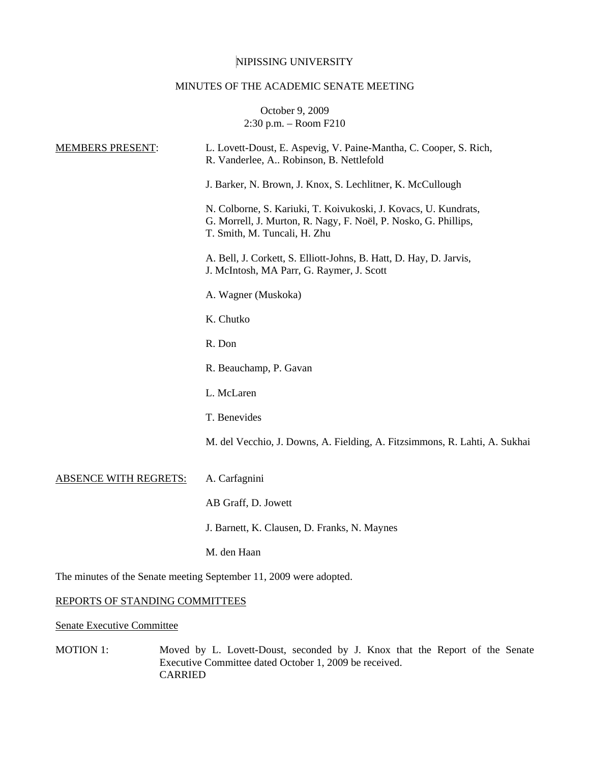# NIPISSING UNIVERSITY

## MINUTES OF THE ACADEMIC SENATE MEETING

October 9, 2009 2:30 p.m. – Room F210

| <b>MEMBERS PRESENT:</b>                                            | L. Lovett-Doust, E. Aspevig, V. Paine-Mantha, C. Cooper, S. Rich,<br>R. Vanderlee, A., Robinson, B. Nettlefold                                                     |  |
|--------------------------------------------------------------------|--------------------------------------------------------------------------------------------------------------------------------------------------------------------|--|
|                                                                    | J. Barker, N. Brown, J. Knox, S. Lechlitner, K. McCullough                                                                                                         |  |
|                                                                    | N. Colborne, S. Kariuki, T. Koivukoski, J. Kovacs, U. Kundrats,<br>G. Morrell, J. Murton, R. Nagy, F. Noël, P. Nosko, G. Phillips,<br>T. Smith, M. Tuncali, H. Zhu |  |
|                                                                    | A. Bell, J. Corkett, S. Elliott-Johns, B. Hatt, D. Hay, D. Jarvis,<br>J. McIntosh, MA Parr, G. Raymer, J. Scott                                                    |  |
|                                                                    | A. Wagner (Muskoka)                                                                                                                                                |  |
|                                                                    | K. Chutko                                                                                                                                                          |  |
|                                                                    | R. Don                                                                                                                                                             |  |
|                                                                    | R. Beauchamp, P. Gavan                                                                                                                                             |  |
|                                                                    | L. McLaren                                                                                                                                                         |  |
|                                                                    | T. Benevides                                                                                                                                                       |  |
|                                                                    | M. del Vecchio, J. Downs, A. Fielding, A. Fitzsimmons, R. Lahti, A. Sukhai                                                                                         |  |
| <b>ABSENCE WITH REGRETS:</b>                                       | A. Carfagnini                                                                                                                                                      |  |
|                                                                    | AB Graff, D. Jowett                                                                                                                                                |  |
|                                                                    | J. Barnett, K. Clausen, D. Franks, N. Maynes                                                                                                                       |  |
|                                                                    | M. den Haan                                                                                                                                                        |  |
| The minutes of the Senate meeting September 11, 2009 were adopted. |                                                                                                                                                                    |  |
| REPORTS OF STANDING COMMITTEES                                     |                                                                                                                                                                    |  |
|                                                                    |                                                                                                                                                                    |  |

Senate Executive Committee

MOTION 1: Moved by L. Lovett-Doust, seconded by J. Knox that the Report of the Senate Executive Committee dated October 1, 2009 be received. CARRIED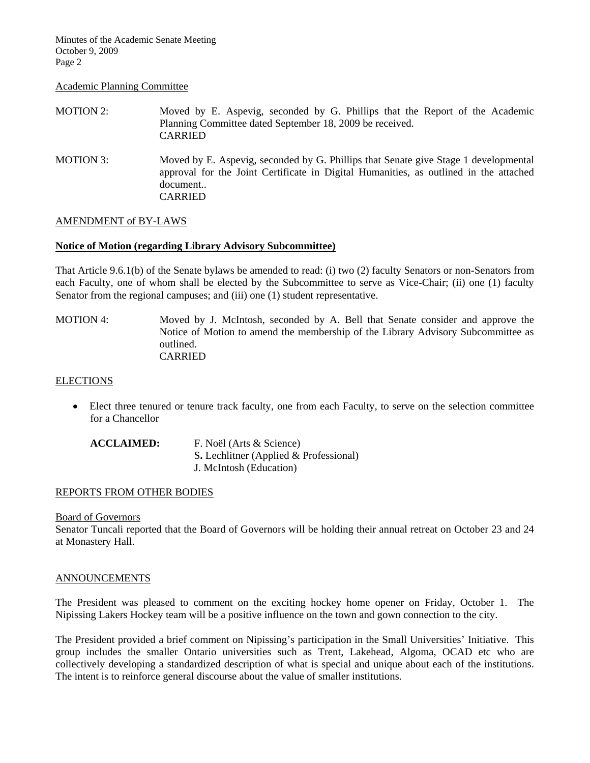Minutes of the Academic Senate Meeting October 9, 2009 Page 2

#### Academic Planning Committee

| MOTION 2: | Moved by E. Aspevig, seconded by G. Phillips that the Report of the Academic<br>Planning Committee dated September 18, 2009 be received.<br><b>CARRIED</b>                                                 |
|-----------|------------------------------------------------------------------------------------------------------------------------------------------------------------------------------------------------------------|
| MOTION 3: | Moved by E. Aspevig, seconded by G. Phillips that Senate give Stage 1 developmental<br>approval for the Joint Certificate in Digital Humanities, as outlined in the attached<br>document<br><b>CARRIED</b> |

## AMENDMENT of BY-LAWS

## **Notice of Motion (regarding Library Advisory Subcommittee)**

That Article 9.6.1(b) of the Senate bylaws be amended to read: (i) two (2) faculty Senators or non-Senators from each Faculty, one of whom shall be elected by the Subcommittee to serve as Vice-Chair; (ii) one (1) faculty Senator from the regional campuses; and (iii) one (1) student representative.

MOTION 4: Moved by J. McIntosh, seconded by A. Bell that Senate consider and approve the Notice of Motion to amend the membership of the Library Advisory Subcommittee as outlined. CARRIED

#### **ELECTIONS**

• Elect three tenured or tenure track faculty, one from each Faculty, to serve on the selection committee for a Chancellor

| <b>ACCLAIMED:</b> | F. Noël (Arts & Science)                 |
|-------------------|------------------------------------------|
|                   | S. Lechlitner (Applied $&$ Professional) |
|                   | J. McIntosh (Education)                  |

## REPORTS FROM OTHER BODIES

## Board of Governors

Senator Tuncali reported that the Board of Governors will be holding their annual retreat on October 23 and 24 at Monastery Hall.

## ANNOUNCEMENTS

The President was pleased to comment on the exciting hockey home opener on Friday, October 1. The Nipissing Lakers Hockey team will be a positive influence on the town and gown connection to the city.

The President provided a brief comment on Nipissing's participation in the Small Universities' Initiative. This group includes the smaller Ontario universities such as Trent, Lakehead, Algoma, OCAD etc who are collectively developing a standardized description of what is special and unique about each of the institutions. The intent is to reinforce general discourse about the value of smaller institutions.